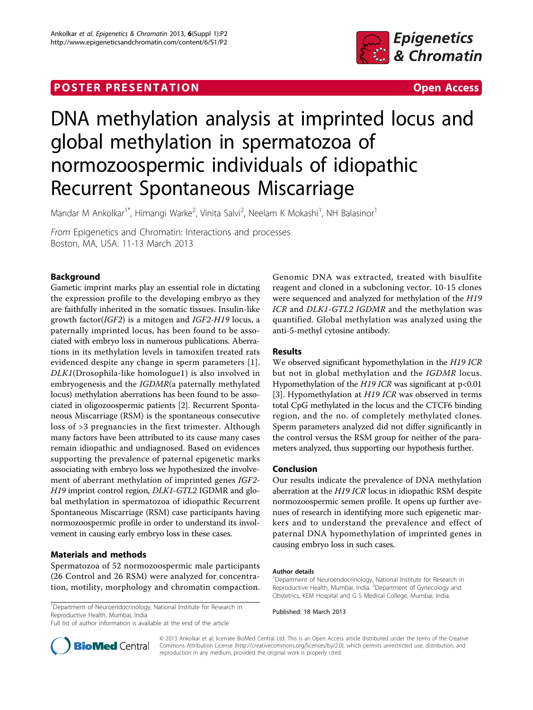# **POSTER PRESENTATION CONSUMING THE SECOND CONSUMING THE SECOND CONSUMING THE SECOND CONSUMING THE SECOND CONSUMING THE SECOND CONSUMING THE SECOND CONSUMING THE SECOND CONSUMING THE SECOND CONSUMING THE SECOND CONSUMING**



# DNA methylation analysis at imprinted locus and global methylation in spermatozoa of normozoospermic individuals of idiopathic Recurrent Spontaneous Miscarriage

Mandar M Ankolkar<sup>1\*</sup>, Himangi Warke<sup>2</sup>, Vinita Salvi<sup>2</sup>, Neelam K Mokashi<sup>1</sup>, NH Balasinor<sup>1</sup>

From Epigenetics and Chromatin: Interactions and processes Boston, MA, USA. 11-13 March 2013

# Background

Gametic imprint marks play an essential role in dictating the expression profile to the developing embryo as they are faithfully inherited in the somatic tissues. Insulin-like growth factor(IGF2) is a mitogen and IGF2-H19 locus, a paternally imprinted locus, has been found to be associated with embryo loss in numerous publications. Aberrations in its methylation levels in tamoxifen treated rats evidenced despite any change in sperm parameters [[1](#page-1-0)]. DLK1(Drosophila-like homologue1) is also involved in embryogenesis and the IGDMR(a paternally methylated locus) methylation aberrations has been found to be associated in oligozoospermic patients [\[2](#page-1-0)]. Recurrent Spontaneous Miscarriage (RSM) is the spontaneous consecutive loss of >3 pregnancies in the first trimester. Although many factors have been attributed to its cause many cases remain idiopathic and undiagnosed. Based on evidences supporting the prevalence of paternal epigenetic marks associating with embryo loss we hypothesized the involvement of aberrant methylation of imprinted genes IGF2- H19 imprint control region, DLK1-GTL2 IGDMR and global methylation in spermatozoa of idiopathic Recurrent Spontaneous Miscarriage (RSM) case participants having normozoospermic profile in order to understand its involvement in causing early embryo loss in these cases.

## Materials and methods

Spermatozoa of 52 normozoospermic male participants (26 Control and 26 RSM) were analyzed for concentration, motility, morphology and chromatin compaction.

<sup>1</sup>Department of Neuroendocrinology, National Institute for Research in Reproductive Health, Mumbai, India

Full list of author information is available at the end of the article

Genomic DNA was extracted, treated with bisulfite reagent and cloned in a subcloning vector. 10-15 clones were sequenced and analyzed for methylation of the H19 ICR and DLK1-GTL2 IGDMR and the methylation was quantified. Global methylation was analyzed using the anti-5-methyl cytosine antibody.

### Results

We observed significant hypomethylation in the H19 ICR but not in global methylation and the *IGDMR* locus. Hypomethylation of the H19 ICR was significant at p<0.01 [[3\]](#page-1-0). Hypomethylation at *H19 ICR* was observed in terms total CpG methylated in the locus and the CTCF6 binding region, and the no. of completely methylated clones. Sperm parameters analyzed did not differ significantly in the control versus the RSM group for neither of the parameters analyzed, thus supporting our hypothesis further.

#### Conclusion

Our results indicate the prevalence of DNA methylation aberration at the H19 ICR locus in idiopathic RSM despite normozoospermic semen profile. It opens up further avenues of research in identifying more such epigenetic markers and to understand the prevalence and effect of paternal DNA hypomethylation of imprinted genes in causing embryo loss in such cases.

#### Author details

<sup>1</sup>Department of Neuroendocrinology, National Institute for Research in Reproductive Health, Mumbai, India. <sup>2</sup>Department of Gynecology and Obstetrics, KEM Hospital and G S Medical College, Mumbai, India.

Published: 18 March 2013



© 2013 Ankolkar et al; licensee BioMed Central Ltd. This is an Open Access article distributed under the terms of the Creative Commons Attribution License [\(http://creativecommons.org/licenses/by/2.0](http://creativecommons.org/licenses/by/2.0)), which permits unrestricted use, distribution, and reproduction in any medium, provided the original work is properly cited.